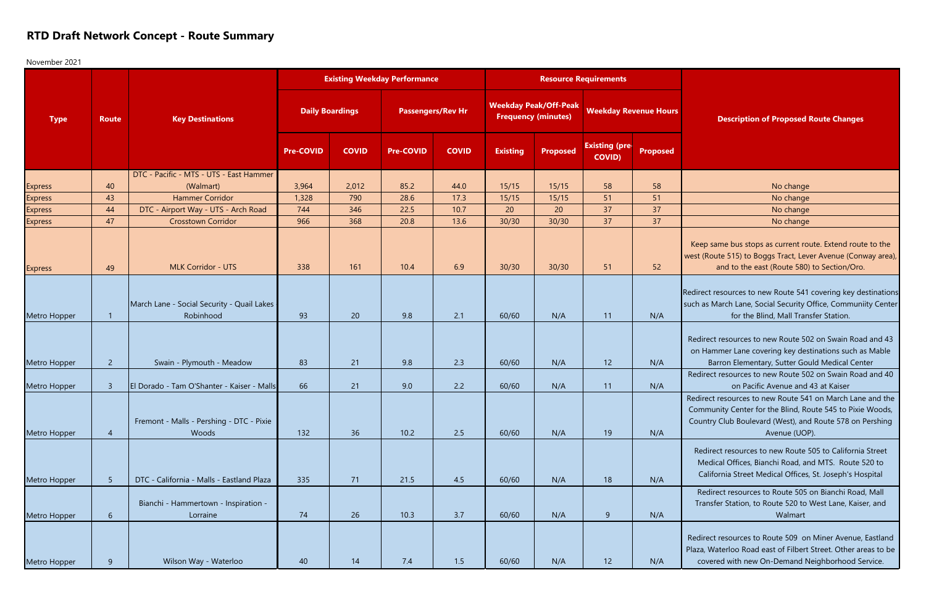## **RTD Draft Network Concept - Route Summary**

November 2021

Keep same bus stops as current route. Extend route to the west (Route 515) to Boggs Tract, Lever Avenue (Conway area), and to the east (Route 580) to Section/Oro.

Redirect resources to new Route 541 covering key destinations such as March Lane, Social Security Office, Communiity Center for the Blind, Mall Transfer Station.

Redirect resources to new Route 502 on Swain Road and 43 on Hammer Lane covering key destinations such as Mable Barron Elementary, Sutter Gould Medical Center

| <b>Type</b>    | <b>Route</b>    | <b>Key Destinations</b>                                 |                        |              | <b>Existing Weekday Performance</b> |              |                                                            | <b>Resource Requirements</b> |                                        |                 |                                                                                                                               |
|----------------|-----------------|---------------------------------------------------------|------------------------|--------------|-------------------------------------|--------------|------------------------------------------------------------|------------------------------|----------------------------------------|-----------------|-------------------------------------------------------------------------------------------------------------------------------|
|                |                 |                                                         | <b>Daily Boardings</b> |              | <b>Passengers/Rev Hr</b>            |              | <b>Weekday Peak/Off-Peak</b><br><b>Frequency (minutes)</b> |                              | <b>Weekday Revenue Hours</b>           |                 | <b>Description of Proposed</b>                                                                                                |
|                |                 |                                                         | <b>Pre-COVID</b>       | <b>COVID</b> | <b>Pre-COVID</b>                    | <b>COVID</b> | <b>Existing</b>                                            | <b>Proposed</b>              | <b>Existing (pre-</b><br><b>COVID)</b> | <b>Proposed</b> |                                                                                                                               |
|                |                 | DTC - Pacific - MTS - UTS - East Hammer                 |                        |              |                                     |              |                                                            |                              |                                        |                 |                                                                                                                               |
| <b>Express</b> | 40              | (Walmart)                                               | 3,964                  | 2,012        | 85.2                                | 44.0         | 15/15                                                      | 15/15                        | 58                                     | 58              | No change                                                                                                                     |
| <b>Express</b> | 43              | <b>Hammer Corridor</b>                                  | 1,328                  | 790          | 28.6                                | 17.3         | 15/15                                                      | 15/15                        | 51                                     | 51              | No change                                                                                                                     |
| <b>Express</b> | 44              | DTC - Airport Way - UTS - Arch Road                     | 744                    | 346          | 22.5                                | 10.7         | 20                                                         | 20                           | 37                                     | 37              | No change                                                                                                                     |
| <b>Express</b> | 47              | <b>Crosstown Corridor</b>                               | 966                    | 368          | 20.8                                | 13.6         | 30/30                                                      | 30/30                        | 37                                     | 37              | No change                                                                                                                     |
| <b>Express</b> | 49              | <b>MLK Corridor - UTS</b>                               | 338                    | 161          | 10.4                                | 6.9          | 30/30                                                      | 30/30                        | 51                                     | 52              | Keep same bus stops as current ro<br>west (Route 515) to Boggs Tract, Lev<br>and to the east (Route 580)                      |
| Metro Hopper   | $\mathbf{1}$    | March Lane - Social Security - Quail Lakes<br>Robinhood | 93                     | 20           | 9.8                                 | 2.1          | 60/60                                                      | N/A                          | 11                                     | N/A             | Redirect resources to new Route 541<br>such as March Lane, Social Security (<br>for the Blind, Mall Tran                      |
| Metro Hopper   | $2^{\circ}$     | Swain - Plymouth - Meadow                               | 83                     | 21           | 9.8                                 | 2.3          | 60/60                                                      | N/A                          | 12                                     | N/A             | Redirect resources to new Route 50<br>on Hammer Lane covering key des<br>Barron Elementary, Sutter Go                         |
|                |                 |                                                         |                        |              |                                     |              |                                                            |                              |                                        |                 | Redirect resources to new Route 50                                                                                            |
| Metro Hopper   | $\overline{3}$  | El Dorado - Tam O'Shanter - Kaiser - Malls              | 66                     | 21           | 9.0                                 | 2.2          | 60/60                                                      | N/A                          | 11                                     | N/A             | on Pacific Avenue and                                                                                                         |
| Metro Hopper   | $\overline{4}$  | Fremont - Malls - Pershing - DTC - Pixie<br>Woods       | 132                    | 36           | 10.2                                | 2.5          | 60/60                                                      | N/A                          | 19                                     | N/A             | Redirect resources to new Route 54<br>Community Center for the Blind, Ro<br>Country Club Boulevard (West), and<br>Avenue (UOI |
| Metro Hopper   | 5 <sub>5</sub>  | DTC - California - Malls - Eastland Plaza               | 335                    | 71           | 21.5                                | 4.5          | 60/60                                                      | N/A                          | 18                                     | N/A             | Redirect resources to new Route<br>Medical Offices, Bianchi Road, ar<br>California Street Medical Offices                     |
| Metro Hopper   | $6\overline{6}$ | Bianchi - Hammertown - Inspiration -<br>Lorraine        | 74                     | 26           | 10.3                                | 3.7          | 60/60                                                      | N/A                          | 9                                      | N/A             | Redirect resources to Route 505<br>Transfer Station, to Route 520 to<br>Walmart                                               |
| Metro Hopper   | 9               | Wilson Way - Waterloo                                   | 40                     | 14           | 7.4                                 | 1.5          | 60/60                                                      | N/A                          | 12                                     | N/A             | Redirect resources to Route 509 or<br>Plaza, Waterloo Road east of Filbert<br>covered with new On-Demand N                    |

## **Description of Proposed Route Changes**

| No change |
|-----------|
| No change |
| No change |
| No change |

Redirect resources to new Route 502 on Swain Road and 40 on Pacific Avenue and 43 at Kaiser

Redirect resources to new Route 541 on March Lane and the Community Center for the Blind, Route 545 to Pixie Woods, Country Club Boulevard (West), and Route 578 on Pershing Avenue (UOP).

Redirect resources to new Route 505 to California Street Medical Offices, Bianchi Road, and MTS. Route 520 to California Street Medical Offices, St. Joseph's Hospital

Redirect resources to Route 505 on Bianchi Road, Mall Transfer Station, to Route 520 to West Lane, Kaiser, and Walmart

Redirect resources to Route 509 on Miner Avenue, Eastland Plaza, Waterloo Road east of Filbert Street. Other areas to be covered with new On-Demand Neighborhood Service.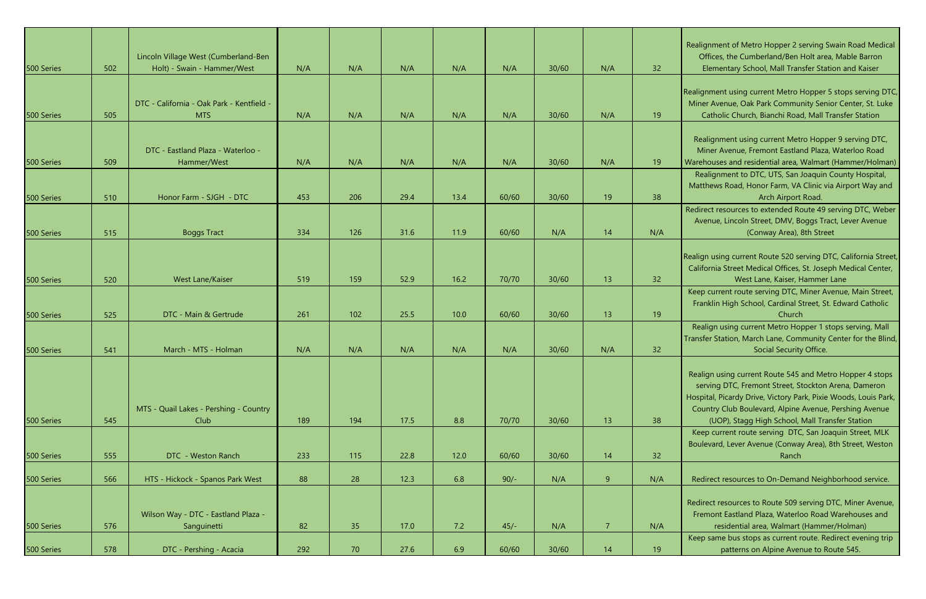Realignment of Metro Hopper 2 serving Swain Road Medical Offices, the Cumberland/Ben Holt area, Mable Barron Elementary School, Mall Transfer Station and Kaiser

Realignment using current Metro Hopper 5 stops serving DTC, Miner Avenue, Oak Park Community Senior Center, St. Luke Catholic Church, Bianchi Road, Mall Transfer Station

Realignment using current Metro Hopper 9 serving DTC, Miner Avenue, Fremont Eastland Plaza, Waterloo Road Warehouses and residential area, Walmart (Hammer/Holman)

Realignment to DTC, UTS, San Joaquin County Hospital, Matthews Road, Honor Farm, VA Clinic via Airport Way and Arch Airport Road.

Redirect resources to extended Route 49 serving DTC, Weber Avenue, Lincoln Street, DMV, Boggs Tract, Lever Avenue (Conway Area), 8th Street

Realign using current Route 520 serving DTC, California Street, California Street Medical Offices, St. Joseph Medical Center, West Lane, Kaiser, Hammer Lane

| Soo Series |     | Lincoln Village West (Cumberland-Ben                    |     |     |      |        |        |       |                |     |
|------------|-----|---------------------------------------------------------|-----|-----|------|--------|--------|-------|----------------|-----|
|            | 502 | Holt) - Swain - Hammer/West                             | N/A | N/A | N/A  | N/A    | N/A    | 30/60 | N/A            | 32  |
| 500 Series | 505 | DTC - California - Oak Park - Kentfield -<br><b>MTS</b> | N/A | N/A | N/A  | N/A    | N/A    | 30/60 | N/A            | 19  |
| 500 Series | 509 | DTC - Eastland Plaza - Waterloo -<br>Hammer/West        | N/A | N/A | N/A  | N/A    | N/A    | 30/60 | N/A            | 19  |
| 500 Series | 510 | Honor Farm - SJGH - DTC                                 | 453 | 206 | 29.4 | 13.4   | 60/60  | 30/60 | 19             | 38  |
| 500 Series | 515 | <b>Boggs Tract</b>                                      | 334 | 126 | 31.6 | 11.9   | 60/60  | N/A   | 14             | N/A |
|            |     |                                                         |     |     |      |        |        |       |                |     |
| 500 Series | 520 | West Lane/Kaiser                                        | 519 | 159 | 52.9 | 16.2   | 70/70  | 30/60 | 13             | 32  |
| 500 Series | 525 | DTC - Main & Gertrude                                   | 261 | 102 | 25.5 | 10.0   | 60/60  | 30/60 | 13             | 19  |
| 500 Series | 541 | March - MTS - Holman                                    | N/A | N/A | N/A  | N/A    | N/A    | 30/60 | N/A            | 32  |
|            |     | MTS - Quail Lakes - Pershing - Country                  |     |     |      |        |        |       |                |     |
| 500 Series | 545 | Club                                                    | 189 | 194 | 17.5 | 8.8    | 70/70  | 30/60 | 13             | 38  |
| 500 Series | 555 | DTC - Weston Ranch                                      | 233 | 115 | 22.8 | $12.0$ | 60/60  | 30/60 | 14             | 32  |
| 500 Series | 566 | HTS - Hickock - Spanos Park West                        | 88  | 28  | 12.3 | 6.8    | $90/-$ | N/A   | 9 <sub>o</sub> | N/A |
| 500 Series | 576 | Wilson Way - DTC - Eastland Plaza -<br>Sanguinetti      | 82  | 35  | 17.0 | 7.2    | $45/-$ | N/A   | 7 <sup>7</sup> | N/A |
| 500 Series | 578 | DTC - Pershing - Acacia                                 | 292 | 70  | 27.6 | 6.9    | 60/60  | 30/60 | 14             | 19  |

Keep current route serving DTC, Miner Avenue, Main Street, Franklin High School, Cardinal Street, St. Edward Catholic Church

Realign using current Metro Hopper 1 stops serving, Mall Transfer Station, March Lane, Community Center for the Blind, Social Security Office.

Realign using current Route 545 and Metro Hopper 4 stops serving DTC, Fremont Street, Stockton Arena, Dameron Hospital, Picardy Drive, Victory Park, Pixie Woods, Louis Park, Country Club Boulevard, Alpine Avenue, Pershing Avenue (UOP), Stagg High School, Mall Transfer Station

Keep current route serving DTC, San Joaquin Street, MLK Boulevard, Lever Avenue (Conway Area), 8th Street, Weston Ranch

Redirect resources to On-Demand Neighborhood service.

Redirect resources to Route 509 serving DTC, Miner Avenue, Fremont Eastland Plaza, Waterloo Road Warehouses and residential area, Walmart (Hammer/Holman)

Keep same bus stops as current route. Redirect evening trip patterns on Alpine Avenue to Route 545.